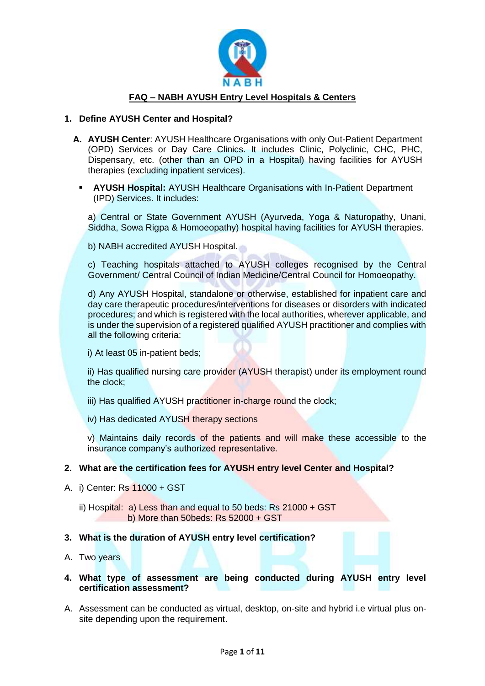

#### **1. Define AYUSH Center and Hospital?**

- **A. AYUSH Center**: AYUSH Healthcare Organisations with only Out-Patient Department (OPD) Services or Day Care Clinics. It includes Clinic, Polyclinic, CHC, PHC, Dispensary, etc. (other than an OPD in a Hospital) having facilities for AYUSH therapies (excluding inpatient services).
	- **AYUSH Hospital: AYUSH Healthcare Organisations with In-Patient Department** (IPD) Services. It includes:

a) Central or State Government AYUSH (Ayurveda, Yoga & Naturopathy, Unani, Siddha, Sowa Rigpa & Homoeopathy) hospital having facilities for AYUSH therapies.

b) NABH accredited AYUSH Hospital.

c) Teaching hospitals attached to AYUSH colleges recognised by the Central Government/ Central Council of Indian Medicine/Central Council for Homoeopathy.

d) Any AYUSH Hospital, standalone or otherwise, established for inpatient care and day care therapeutic procedures/interventions for diseases or disorders with indicated procedures; and which is registered with the local authorities, wherever applicable, and is under the supervision of a registered qualified AYUSH practitioner and complies with all the following criteria:

i) At least 05 in-patient beds;

ii) Has qualified nursing care provider (AYUSH therapist) under its employment round the clock;

- iii) Has qualified AYUSH practitioner in-charge round the clock;
- iv) Has dedicated AYUSH therapy sections

v) Maintains daily records of the patients and will make these accessible to the insurance company's authorized representative.

# **2. What are the certification fees for AYUSH entry level Center and Hospital?**

- A. i) Center: Rs 11000 + GST
	- ii) Hospital: a) Less than and equal to 50 beds: Rs 21000 + GST b) More than 50beds: Rs 52000 + GST

#### **3. What is the duration of AYUSH entry level certification?**

A. Two years

## **4. What type of assessment are being conducted during AYUSH entry level certification assessment?**

A. Assessment can be conducted as virtual, desktop, on-site and hybrid i.e virtual plus onsite depending upon the requirement.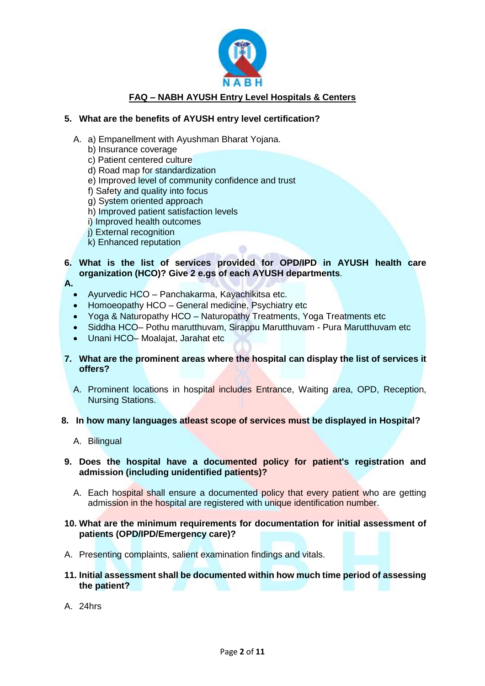

# **5. What are the benefits of AYUSH entry level certification?**

- A. a) Empanellment with Ayushman Bharat Yojana.
	- b) Insurance coverage
	- c) Patient centered culture
	- d) Road map for standardization
	- e) Improved level of community confidence and trust
	- f) Safety and quality into focus
	- g) System oriented approach
	- h) Improved patient satisfaction levels
	- i) Improved health outcomes
	- j) External recognition
	- k) Enhanced reputation

## **6. What is the list of services provided for OPD/IPD in AYUSH health care organization (HCO)? Give 2 e.gs of each AYUSH departments**.

- **A.**
	- Ayurvedic HCO Panchakarma, Kayachikitsa etc.
	- Homoeopathy HCO General medicine, Psychiatry etc
	- Yoga & Naturopathy HCO Naturopathy Treatments, Yoga Treatments etc
	- Siddha HCO– Pothu marutthuvam, Sirappu Marutthuvam Pura Marutthuvam etc
	- Unani HCO– Moalajat, Jarahat etc
- **7. What are the prominent areas where the hospital can display the list of services it offers?**
	- A. Prominent locations in hospital includes Entrance, Waiting area, OPD, Reception, Nursing Stations.

#### **8. In how many languages atleast scope of services must be displayed in Hospital?**

A. Bilingual

## **9. Does the hospital have a documented policy for patient's registration and admission (including unidentified patients)?**

- A. Each hospital shall ensure a documented policy that every patient who are getting admission in the hospital are registered with unique identification number.
- **10. What are the minimum requirements for documentation for initial assessment of patients (OPD/IPD/Emergency care)?**
- A. Presenting complaints, salient examination findings and vitals.
- **11. Initial assessment shall be documented within how much time period of assessing the patient?**
- A. 24hrs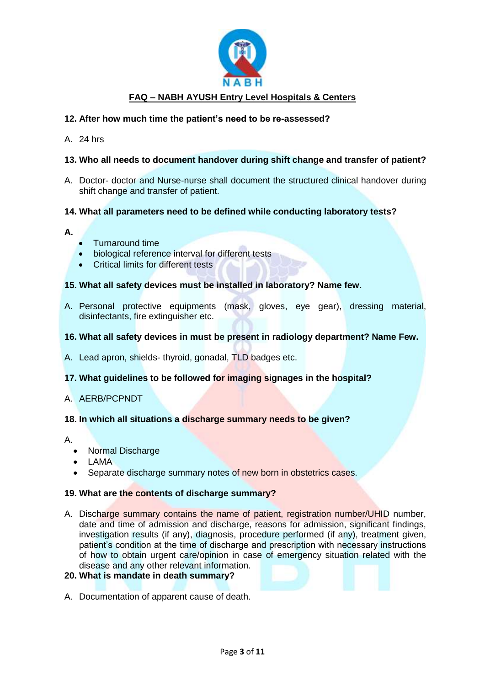

# **12. After how much time the patient's need to be re-assessed?**

A. 24 hrs

## **13. Who all needs to document handover during shift change and transfer of patient?**

A. Doctor- doctor and Nurse-nurse shall document the structured clinical handover during shift change and transfer of patient.

## **14. What all parameters need to be defined while conducting laboratory tests?**

- **A.**
- Turnaround time
- biological reference interval for different tests
- Critical limits for different tests

## **15. What all safety devices must be installed in laboratory? Name few.**

A. Personal protective equipments (mask, gloves, eye gear), dressing material, disinfectants, fire extinguisher etc.

## **16. What all safety devices in must be present in radiology department? Name Few.**

A. Lead apron, shields- thyroid, gonadal, TLD badges etc.

## **17. What guidelines to be followed for imaging signages in the hospital?**

#### A. AERB/PCPNDT

#### **18. In which all situations a discharge summary needs to be given?**

- A.
	- Normal Discharge
	- $\bullet$  LAMA
	- Separate discharge summary notes of new born in obstetrics cases.

#### **19. What are the contents of discharge summary?**

A. Discharge summary contains the name of patient, registration number/UHID number, date and time of admission and discharge, reasons for admission, significant findings, investigation results (if any), diagnosis, procedure performed (if any), treatment given, patient's condition at the time of discharge and prescription with necessary instructions of how to obtain urgent care/opinion in case of emergency situation related with the disease and any other relevant information.

# **20. What is mandate in death summary?**

A. Documentation of apparent cause of death.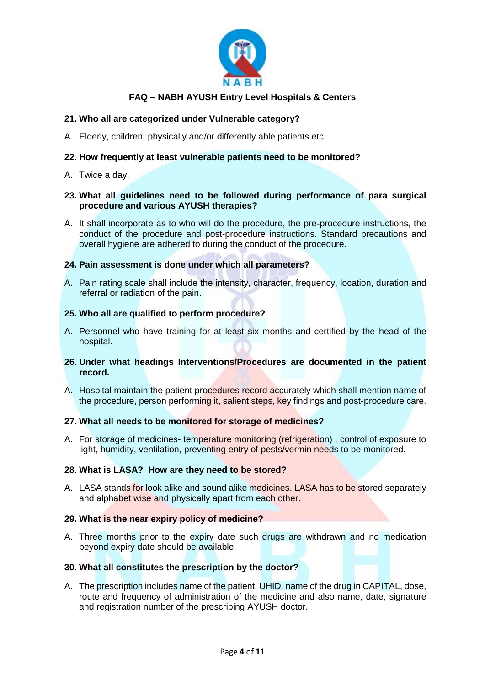

## **21. Who all are categorized under Vulnerable category?**

A. Elderly, children, physically and/or differently able patients etc.

## **22. How frequently at least vulnerable patients need to be monitored?**

A. Twice a day.

## **23. What all guidelines need to be followed during performance of para surgical procedure and various AYUSH therapies?**

A. It shall incorporate as to who will do the procedure, the pre-procedure instructions, the conduct of the procedure and post-procedure instructions. Standard precautions and overall hygiene are adhered to during the conduct of the procedure.

## **24. Pain assessment is done under which all parameters?**

A. Pain rating scale shall include the intensity, character, frequency, location, duration and referral or radiation of the pain.

## **25. Who all are qualified to perform procedure?**

A. Personnel who have training for at least six months and certified by the head of the hospital.

## **26. Under what headings Interventions/Procedures are documented in the patient record.**

A. Hospital maintain the patient procedures record accurately which shall mention name of the procedure, person performing it, salient steps, key findings and post-procedure care.

#### **27. What all needs to be monitored for storage of medicines?**

A. For storage of medicines- temperature monitoring (refrigeration), control of exposure to light, humidity, ventilation, preventing entry of pests/vermin needs to be monitored.

## **28. What is LASA? How are they need to be stored?**

A. LASA stands for look alike and sound alike medicines. LASA has to be stored separately and alphabet wise and physically apart from each other.

#### **29. What is the near expiry policy of medicine?**

A. Three months prior to the expiry date such drugs are withdrawn and no medication beyond expiry date should be available.

#### **30. What all constitutes the prescription by the doctor?**

A. The prescription includes name of the patient, UHID, name of the drug in CAPITAL, dose, route and frequency of administration of the medicine and also name, date, signature and registration number of the prescribing AYUSH doctor.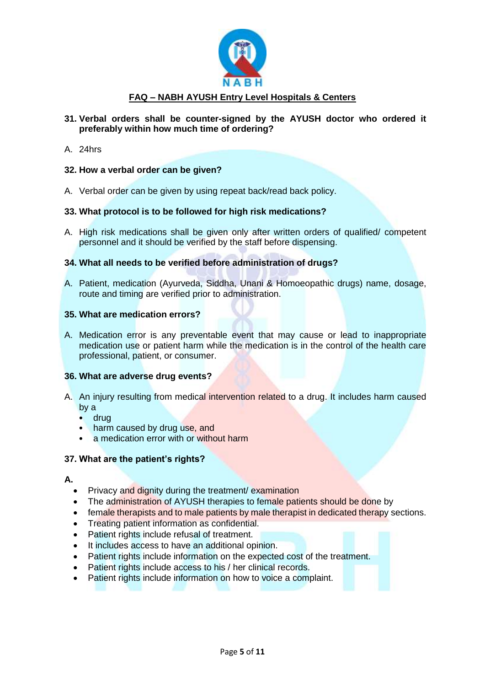

- **31. Verbal orders shall be counter-signed by the AYUSH doctor who ordered it preferably within how much time of ordering?**
- A. 24hrs

## **32. How a verbal order can be given?**

A. Verbal order can be given by using repeat back/read back policy.

## **33. What protocol is to be followed for high risk medications?**

A. High risk medications shall be given only after written orders of qualified/ competent personnel and it should be verified by the staff before dispensing.

# **34. What all needs to be verified before administration of drugs?**

A. Patient, medication (Ayurveda, Siddha, Unani & Homoeopathic drugs) name, dosage, route and timing are verified prior to administration.

#### **35. What are medication errors?**

A. Medication error is any preventable event that may cause or lead to inappropriate medication use or patient harm while the medication is in the control of the health care professional, patient, or consumer.

#### **36. What are adverse drug events?**

- A. An injury resulting from medical intervention related to a drug. It includes harm caused by a
	- drug
	- harm caused by drug use, and
	- a medication error with or without harm

#### **37. What are the patient's rights?**

#### **A.**

- Privacy and dignity during the treatment/ examination
- The administration of AYUSH therapies to female patients should be done by
- female therapists and to male patients by male therapist in dedicated therapy sections.
- Treating patient information as confidential.
- Patient rights include refusal of treatment.
- It includes access to have an additional opinion.
- Patient rights include information on the expected cost of the treatment.
- Patient rights include access to his / her clinical records.
- Patient rights include information on how to voice a complaint.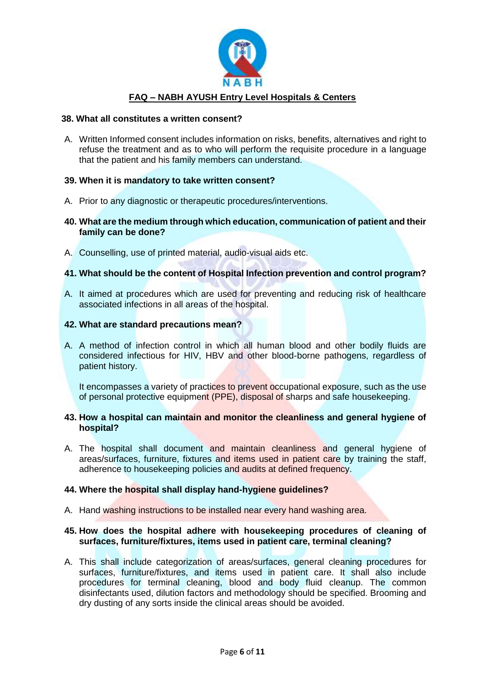

#### **38. What all constitutes a written consent?**

A. Written Informed consent includes information on risks, benefits, alternatives and right to refuse the treatment and as to who will perform the requisite procedure in a language that the patient and his family members can understand.

## **39. When it is mandatory to take written consent?**

- A. Prior to any diagnostic or therapeutic procedures/interventions.
- **40. What are the medium through which education, communication of patient and their family can be done?**
- A. Counselling, use of printed material, audio-visual aids etc.

## **41. What should be the content of Hospital Infection prevention and control program?**

- A. It aimed at procedures which are used for preventing and reducing risk of healthcare associated infections in all areas of the hospital.
- **42. What are standard precautions mean?**
- A. A method of infection control in which all human blood and other bodily fluids are considered infectious for HIV, HBV and other blood-borne pathogens, regardless of patient history.

It encompasses a variety of practices to prevent occupational exposure, such as the use of personal protective equipment (PPE), disposal of sharps and safe housekeeping.

#### **43. How a hospital can maintain and monitor the cleanliness and general hygiene of hospital?**

A. The hospital shall document and maintain cleanliness and general hygiene of areas/surfaces, furniture, fixtures and items used in patient care by training the staff, adherence to housekeeping policies and audits at defined frequency.

## **44. Where the hospital shall display hand-hygiene guidelines?**

A. Hand washing instructions to be installed near every hand washing area.

## **45. How does the hospital adhere with housekeeping procedures of cleaning of surfaces, furniture/fixtures, items used in patient care, terminal cleaning?**

A. This shall include categorization of areas/surfaces, general cleaning procedures for surfaces, furniture/fixtures, and items used in patient care. It shall also include procedures for terminal cleaning, blood and body fluid cleanup. The common disinfectants used, dilution factors and methodology should be specified. Brooming and dry dusting of any sorts inside the clinical areas should be avoided.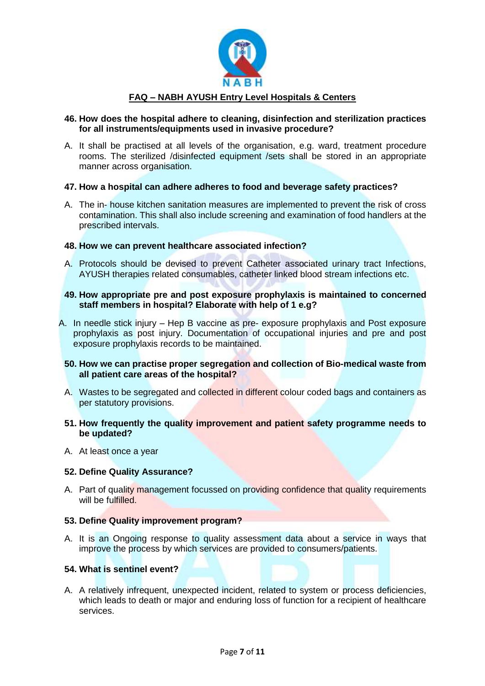

## **46. How does the hospital adhere to cleaning, disinfection and sterilization practices for all instruments/equipments used in invasive procedure?**

A. It shall be practised at all levels of the organisation, e.g. ward, treatment procedure rooms. The sterilized /disinfected equipment /sets shall be stored in an appropriate manner across organisation.

## **47. How a hospital can adhere adheres to food and beverage safety practices?**

A. The in- house kitchen sanitation measures are implemented to prevent the risk of cross contamination. This shall also include screening and examination of food handlers at the prescribed intervals.

## **48. How we can prevent healthcare associated infection?**

- A. Protocols should be devised to prevent Catheter associated urinary tract Infections, AYUSH therapies related consumables, catheter linked blood stream infections etc.
- **49. How appropriate pre and post exposure prophylaxis is maintained to concerned staff members in hospital? Elaborate with help of 1 e.g?**
- A. In needle stick injury Hep B vaccine as pre- exposure prophylaxis and Post exposure prophylaxis as post injury. Documentation of occupational injuries and pre and post exposure prophylaxis records to be maintained.

## **50. How we can practise proper segregation and collection of Bio-medical waste from all patient care areas of the hospital?**

- A. Wastes to be segregated and collected in different colour coded bags and containers as per statutory provisions.
- **51. How frequently the quality improvement and patient safety programme needs to be updated?**
- A. At least once a year

#### **52. Define Quality Assurance?**

A. Part of quality management focussed on providing confidence that quality requirements will be fulfilled.

#### **53. Define Quality improvement program?**

A. It is an Ongoing response to quality assessment data about a service in ways that improve the process by which services are provided to consumers/patients.

## **54. What is sentinel event?**

A. A relatively infrequent, unexpected incident, related to system or process deficiencies, which leads to death or major and enduring loss of function for a recipient of healthcare services.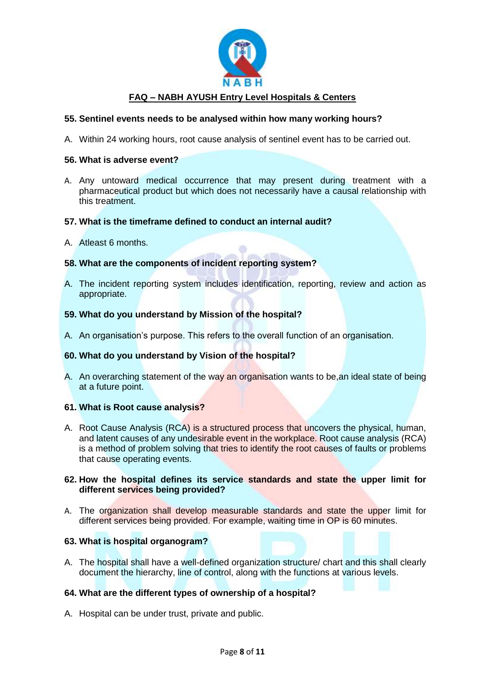

## **55. Sentinel events needs to be analysed within how many working hours?**

A. Within 24 working hours, root cause analysis of sentinel event has to be carried out.

#### **56. What is adverse event?**

A. Any untoward medical occurrence that may present during treatment with a pharmaceutical product but which does not necessarily have a causal relationship with this treatment.

## **57. What is the timeframe defined to conduct an internal audit?**

A. Atleast 6 months.

## **58. What are the components of incident reporting system?**

A. The incident reporting system includes identification, reporting, review and action as appropriate.

## **59. What do you understand by Mission of the hospital?**

A. An organisation's purpose. This refers to the overall function of an organisation.

#### **60. What do you understand by Vision of the hospital?**

A. An overarching statement of the way an organisation wants to be, an ideal state of being at a future point.

#### **61. What is Root cause analysis?**

A. Root Cause Analysis (RCA) is a structured process that uncovers the physical, human, and latent causes of any undesirable event in the workplace. Root cause analysis (RCA) is a method of problem solving that tries to identify the root causes of faults or problems that cause operating events.

## **62. How the hospital defines its service standards and state the upper limit for different services being provided?**

A. The organization shall develop measurable standards and state the upper limit for different services being provided. For example, waiting time in OP is 60 minutes.

#### **63. What is hospital organogram?**

A. The hospital shall have a well-defined organization structure/ chart and this shall clearly document the hierarchy, line of control, along with the functions at various levels.

## **64. What are the different types of ownership of a hospital?**

A. Hospital can be under trust, private and public.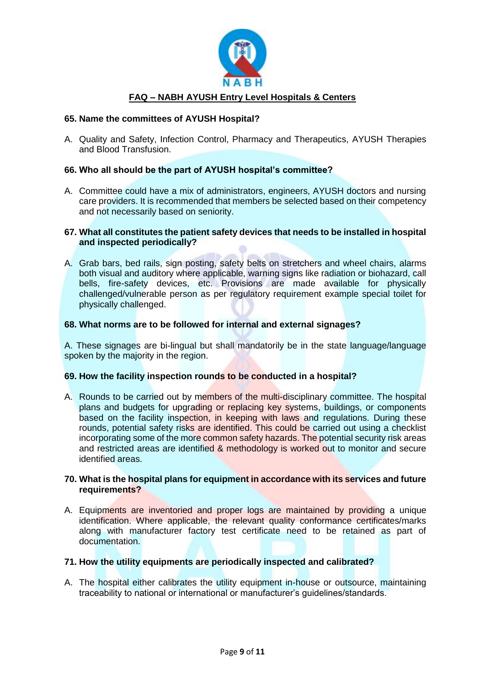

## **65. Name the committees of AYUSH Hospital?**

A. Quality and Safety, Infection Control, Pharmacy and Therapeutics, AYUSH Therapies and Blood Transfusion.

## **66. Who all should be the part of AYUSH hospital's committee?**

A. Committee could have a mix of administrators, engineers, AYUSH doctors and nursing care providers. It is recommended that members be selected based on their competency and not necessarily based on seniority.

## **67. What all constitutes the patient safety devices that needs to be installed in hospital and inspected periodically?**

A. Grab bars, bed rails, sign posting, safety belts on stretchers and wheel chairs, alarms both visual and auditory where applicable, warning signs like radiation or biohazard, call bells, fire-safety devices, etc. Provisions are made available for physically challenged/vulnerable person as per regulatory requirement example special toilet for physically challenged.

## **68. What norms are to be followed for internal and external signages?**

A. These signages are bi-lingual but shall mandatorily be in the state language/language spoken by the majority in the region.

#### **69. How the facility inspection rounds to be conducted in a hospital?**

A. Rounds to be carried out by members of the multi-disciplinary committee. The hospital plans and budgets for upgrading or replacing key systems, buildings, or components based on the facility inspection, in keeping with laws and regulations. During these rounds, potential safety risks are identified. This could be carried out using a checklist incorporating some of the more common safety hazards. The potential security risk areas and restricted areas are identified & methodology is worked out to monitor and secure identified areas.

## **70. What is the hospital plans for equipment in accordance with its services and future requirements?**

A. Equipments are inventoried and proper logs are maintained by providing a unique identification. Where applicable, the relevant quality conformance certificates/marks along with manufacturer factory test certificate need to be retained as part of documentation.

#### **71. How the utility equipments are periodically inspected and calibrated?**

A. The hospital either calibrates the utility equipment in-house or outsource, maintaining traceability to national or international or manufacturer's guidelines/standards.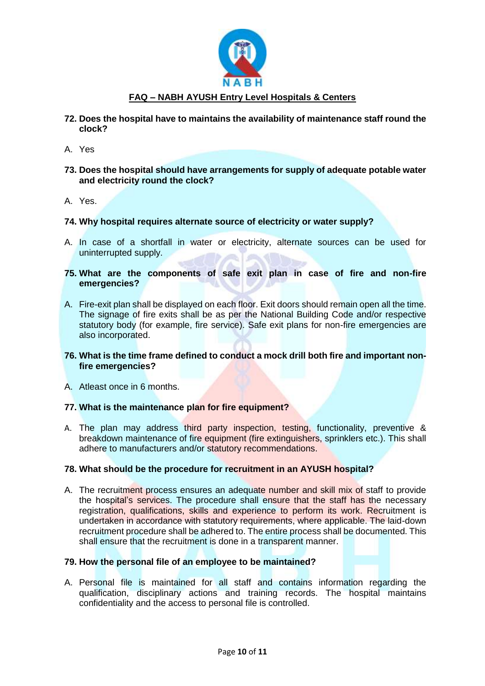

- **72. Does the hospital have to maintains the availability of maintenance staff round the clock?**
- A. Yes
- **73. Does the hospital should have arrangements for supply of adequate potable water and electricity round the clock?**
- A. Yes.

## **74. Why hospital requires alternate source of electricity or water supply?**

- A. In case of a shortfall in water or electricity, alternate sources can be used for uninterrupted supply.
- **75. What are the components of safe exit plan in case of fire and non-fire emergencies?**
- A. Fire-exit plan shall be displayed on each floor. Exit doors should remain open all the time. The signage of fire exits shall be as per the National Building Code and/or respective statutory body (for example, fire service). Safe exit plans for non-fire emergencies are also incorporated.
- **76. What is the time frame defined to conduct a mock drill both fire and important nonfire emergencies?**
- A. Atleast once in 6 months.

#### **77. What is the maintenance plan for fire equipment?**

A. The plan may address third party inspection, testing, functionality, preventive & breakdown maintenance of fire equipment (fire extinguishers, sprinklers etc.). This shall adhere to manufacturers and/or statutory recommendations.

#### **78. What should be the procedure for recruitment in an AYUSH hospital?**

A. The recruitment process ensures an adequate number and skill mix of staff to provide the hospital's services. The procedure shall ensure that the staff has the necessary registration, qualifications, skills and experience to perform its work. Recruitment is undertaken in accordance with statutory requirements, where applicable. The laid-down recruitment procedure shall be adhered to. The entire process shall be documented. This shall ensure that the recruitment is done in a transparent manner.

## **79. How the personal file of an employee to be maintained?**

A. Personal file is maintained for all staff and contains information regarding the qualification, disciplinary actions and training records. The hospital maintains confidentiality and the access to personal file is controlled.